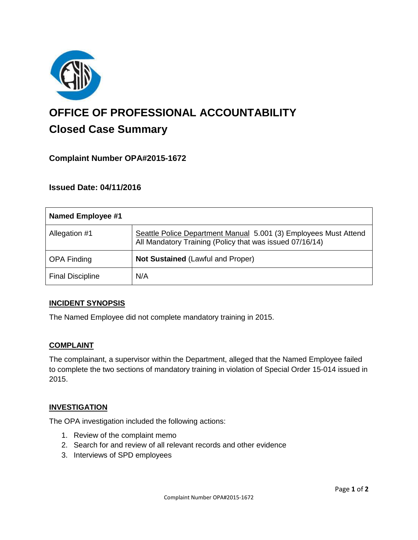

# **OFFICE OF PROFESSIONAL ACCOUNTABILITY Closed Case Summary**

# **Complaint Number OPA#2015-1672**

## **Issued Date: 04/11/2016**

| <b>Named Employee #1</b> |                                                                                                                              |
|--------------------------|------------------------------------------------------------------------------------------------------------------------------|
| Allegation #1            | Seattle Police Department Manual 5.001 (3) Employees Must Attend<br>All Mandatory Training (Policy that was issued 07/16/14) |
| <b>OPA Finding</b>       | <b>Not Sustained (Lawful and Proper)</b>                                                                                     |
| <b>Final Discipline</b>  | N/A                                                                                                                          |

#### **INCIDENT SYNOPSIS**

The Named Employee did not complete mandatory training in 2015.

#### **COMPLAINT**

The complainant, a supervisor within the Department, alleged that the Named Employee failed to complete the two sections of mandatory training in violation of Special Order 15-014 issued in 2015.

#### **INVESTIGATION**

The OPA investigation included the following actions:

- 1. Review of the complaint memo
- 2. Search for and review of all relevant records and other evidence
- 3. Interviews of SPD employees